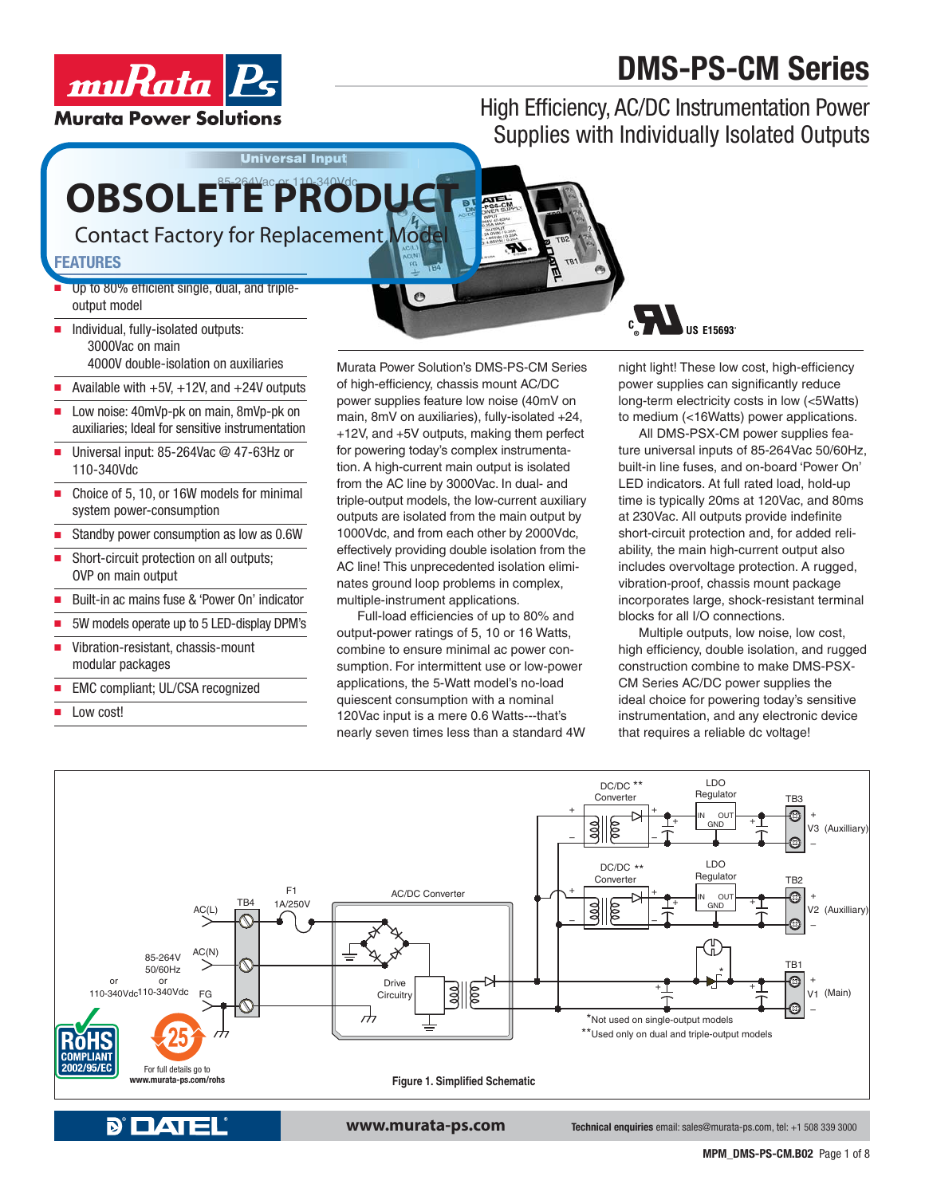# **DMS-PS-CM Series**



High Efficiency, AC/DC Instrumentation Power Supplies with Individually Isolated Outputs

# OBSOLETE PRODUCT

**Universal Input**

Contact Factory for Replacement Model

#### **FEATURES**

- Up to 80% efficient single, dual, and tripleoutput model
- $\blacksquare$  Individual, fully-isolated outputs: 3000Vac on main 4000V double-isolation on auxiliaries
- Available with  $+5V$ ,  $+12V$ , and  $+24V$  outputs
- Low noise: 40mVp-pk on main, 8mVp-pk on auxiliaries; Ideal for sensitive instrumentation
- $\blacksquare$  Universal input: 85-264Vac @ 47-63Hz or 110-340Vdc
- Choice of 5, 10, or 16W models for minimal system power-consumption
- Standby power consumption as low as 0.6W
- Short-circuit protection on all outputs; OVP on main output
- Built-in ac mains fuse & 'Power On' indicator
- 5W models operate up to 5 LED-display DPM's
- $\blacksquare$  Vibration-resistant, chassis-mount modular packages
- EMC compliant; UL/CSA recognized
- Low cost!

Murata Power Solution's DMS-PS-CM Series of high-efficiency, chassis mount AC/DC power supplies feature low noise (40mV on main, 8mV on auxiliaries), fully-isolated +24, +12V, and +5V outputs, making them perfect for powering today's complex instrumentation. A high-current main output is isolated from the AC line by 3000Vac. In dual- and triple-output models, the low-current auxiliary outputs are isolated from the main output by 1000Vdc, and from each other by 2000Vdc, effectively providing double isolation from the AC line! This unprecedented isolation eliminates ground loop problems in complex, multiple-instrument applications.

 $\bullet$ 

Full-load efficiencies of up to 80% and output-power ratings of 5, 10 or 16 Watts, combine to ensure minimal ac power consumption. For intermittent use or low-power applications, the 5-Watt model's no-load quiescent consumption with a nominal 120Vac input is a mere 0.6 Watts---that's nearly seven times less than a standard 4W



night light! These low cost, high-efficiency power supplies can significantly reduce long-term electricity costs in low (<5Watts) to medium (<16Watts) power applications.

All DMS-PSX-CM power supplies feature universal inputs of 85-264Vac 50/60Hz, built-in line fuses, and on-board 'Power On' LED indicators. At full rated load, hold-up time is typically 20ms at 120Vac, and 80ms at 230Vac. All outputs provide indefinite short-circuit protection and, for added reliability, the main high-current output also includes overvoltage protection. A rugged, vibration-proof, chassis mount package incorporates large, shock-resistant terminal blocks for all I/O connections.

Multiple outputs, low noise, low cost, high efficiency, double isolation, and rugged construction combine to make DMS-PSX-CM Series AC/DC power supplies the ideal choice for powering today's sensitive instrumentation, and any electronic device that requires a reliable dc voltage!

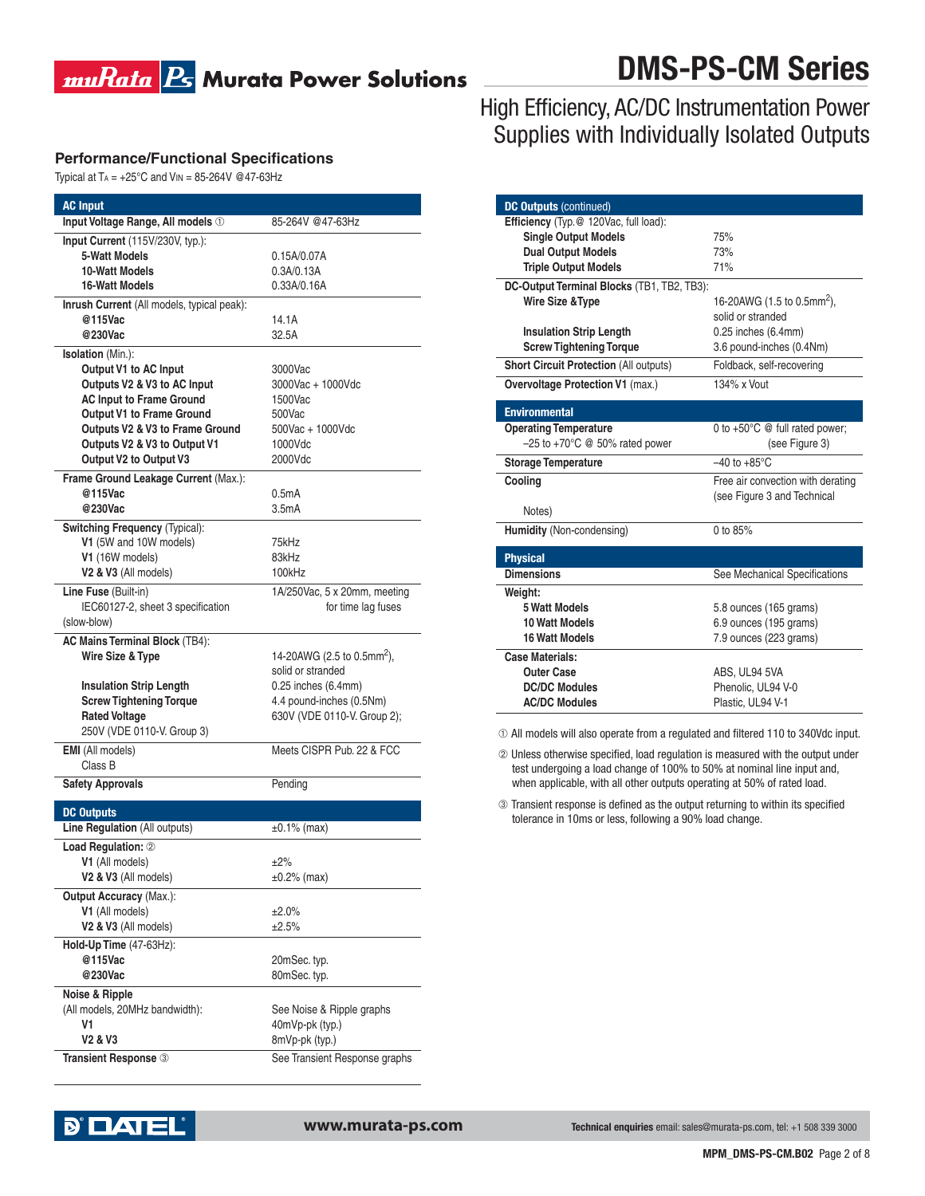### **muRata B** Murata Power Solutions

## **DMS-PS-CM Series**

#### **Performance/Functional Specifications**

Typical at  $Ta = +25^\circ C$  and  $V_{IN} = 85-264V$  @47-63Hz

| <b>AC Input</b>                                                |                                        |  |  |
|----------------------------------------------------------------|----------------------------------------|--|--|
| Input Voltage Range, All models 1                              | 85-264V @47-63Hz                       |  |  |
| Input Current (115V/230V, typ.):                               |                                        |  |  |
| <b>5-Watt Models</b>                                           | 0.15A/0.07A                            |  |  |
| 10-Watt Models                                                 | 0.3A/0.13A                             |  |  |
| <b>16-Watt Models</b>                                          | 0.33A/0.16A                            |  |  |
| Inrush Current (All models, typical peak):                     |                                        |  |  |
| @115Vac                                                        | 14.1A                                  |  |  |
| @230Vac                                                        | 32.5A                                  |  |  |
| <b>Isolation</b> (Min.):                                       |                                        |  |  |
| Output V1 to AC Input                                          | 3000Vac                                |  |  |
| Outputs V2 & V3 to AC Input<br><b>AC Input to Frame Ground</b> | 3000Vac + 1000Vdc<br>1500Vac           |  |  |
| <b>Output V1 to Frame Ground</b>                               | 500Vac                                 |  |  |
| Outputs V2 & V3 to Frame Ground                                | 500Vac + 1000Vdc                       |  |  |
| Outputs V2 & V3 to Output V1                                   | 1000Vdc                                |  |  |
| Output V2 to Output V3                                         | 2000Vdc                                |  |  |
| Frame Ground Leakage Current (Max.):                           |                                        |  |  |
| @115Vac                                                        | 0.5 <sub>m</sub> A                     |  |  |
| @230Vac                                                        | 3.5 <sub>m</sub> A                     |  |  |
| Switching Frequency (Typical):                                 |                                        |  |  |
| V1 (5W and 10W models)                                         | 75kHz                                  |  |  |
| V1 (16W models)                                                | 83kHz                                  |  |  |
| V2 & V3 (All models)                                           | 100kHz                                 |  |  |
| Line Fuse (Built-in)                                           | 1A/250Vac, 5 x 20mm, meeting           |  |  |
| IEC60127-2, sheet 3 specification                              | for time lag fuses                     |  |  |
| (slow-blow)                                                    |                                        |  |  |
| <b>AC Mains Terminal Block (TB4):</b>                          |                                        |  |  |
| Wire Size & Type                                               | 14-20AWG (2.5 to 0.5mm <sup>2</sup> ), |  |  |
|                                                                | solid or stranded                      |  |  |
| <b>Insulation Strip Length</b>                                 | 0.25 inches (6.4mm)                    |  |  |
| <b>Screw Tightening Torque</b>                                 | 4.4 pound-inches (0.5Nm)               |  |  |
| <b>Rated Voltage</b><br>250V (VDE 0110-V. Group 3)             | 630V (VDE 0110-V. Group 2);            |  |  |
|                                                                |                                        |  |  |
| <b>EMI</b> (All models)<br>Class B                             | Meets CISPR Pub. 22 & FCC              |  |  |
|                                                                |                                        |  |  |
| <b>Safety Approvals</b>                                        | Pending                                |  |  |
| <b>DC Outputs</b>                                              |                                        |  |  |
| Line Regulation (All outputs)                                  | $±0.1\%$ (max)                         |  |  |
| Load Regulation: 2                                             |                                        |  |  |
| V1 (All models)                                                | ±2%                                    |  |  |
| V2 & V3 (All models)                                           | $±0.2%$ (max)                          |  |  |
| <b>Output Accuracy (Max.):</b>                                 |                                        |  |  |
| V1 (All models)                                                | ±2.0%                                  |  |  |
| V2 & V3 (All models)                                           | ±2.5%                                  |  |  |
| Hold-Up Time (47-63Hz):                                        |                                        |  |  |
| @115Vac                                                        | 20mSec. typ.                           |  |  |
| @230Vac                                                        | 80mSec. typ.                           |  |  |
| Noise & Ripple                                                 |                                        |  |  |
| (All models, 20MHz bandwidth):                                 | See Noise & Ripple graphs              |  |  |
| V1                                                             | 40mVp-pk (typ.)                        |  |  |
| V2 & V3                                                        | 8mVp-pk (typ.)                         |  |  |
| Transient Response 3                                           | See Transient Response graphs          |  |  |
|                                                                |                                        |  |  |

### High Efficiency, AC/DC Instrumentation Power Supplies with Individually Isolated Outputs

| <b>DC Outputs (continued)</b>                 |                                          |  |  |
|-----------------------------------------------|------------------------------------------|--|--|
| Efficiency (Typ.@ 120Vac, full load):         |                                          |  |  |
| <b>Single Output Models</b>                   | 75%                                      |  |  |
| <b>Dual Output Models</b>                     | 73%                                      |  |  |
| <b>Triple Output Models</b>                   | 71%                                      |  |  |
| DC-Output Terminal Blocks (TB1, TB2, TB3):    |                                          |  |  |
| Wire Size & Type                              | 16-20AWG (1.5 to 0.5mm <sup>2</sup> ),   |  |  |
|                                               | solid or stranded                        |  |  |
| <b>Insulation Strip Length</b>                | 0.25 inches (6.4mm)                      |  |  |
| <b>Screw Tightening Torque</b>                | 3.6 pound-inches (0.4Nm)                 |  |  |
| <b>Short Circuit Protection (All outputs)</b> | Foldback, self-recovering                |  |  |
| <b>Overvoltage Protection V1 (max.)</b>       | 134% x Vout                              |  |  |
| <b>Environmental</b>                          |                                          |  |  |
| <b>Operating Temperature</b>                  | 0 to $+50^{\circ}$ C @ full rated power; |  |  |
| $-25$ to +70 $^{\circ}$ C @ 50% rated power   | (see Figure 3)                           |  |  |
| <b>Storage Temperature</b>                    | $-40$ to $+85^{\circ}$ C                 |  |  |
| Cooling                                       | Free air convection with derating        |  |  |
|                                               | (see Figure 3 and Technical              |  |  |
| Notes)                                        |                                          |  |  |
| Humidity (Non-condensing)                     | 0 to 85%                                 |  |  |
| <b>Physical</b>                               |                                          |  |  |
| <b>Dimensions</b>                             | See Mechanical Specifications            |  |  |
| Weight:                                       |                                          |  |  |
| <b>5 Watt Models</b>                          | 5.8 ounces (165 grams)                   |  |  |
| <b>10 Watt Models</b>                         | 6.9 ounces (195 grams)                   |  |  |
| <b>16 Watt Models</b>                         | 7.9 ounces (223 grams)                   |  |  |
| Case Materials:                               |                                          |  |  |
| <b>Outer Case</b>                             | ABS, UL94 5VA                            |  |  |
| <b>DC/DC Modules</b>                          | Phenolic. UL94 V-0                       |  |  |
|                                               |                                          |  |  |
| <b>AC/DC Modules</b>                          | Plastic, UL94 V-1                        |  |  |

~ All models will also operate from a regulated and filtered 110 to 340Vdc input.

 Unless otherwise specified, load regulation is measured with the output under test undergoing a load change of 100% to 50% at nominal line input and, when applicable, with all other outputs operating at 50% of rated load.

Transient response is defined as the output returning to within its specified tolerance in 10ms or less, following a 90% load change.

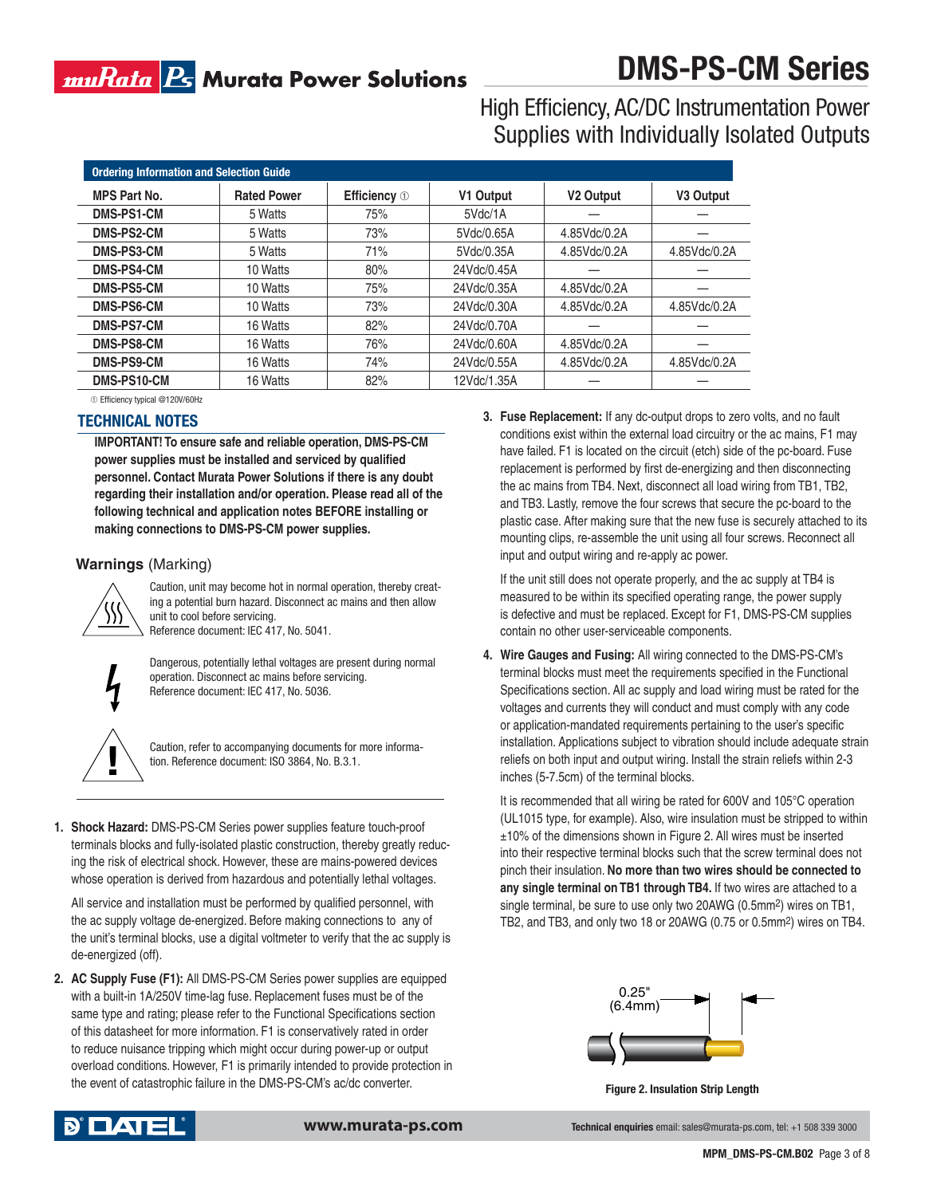### muRata <mark>Ps</mark> Murata Power Solutions

# **DMS-PS-CM Series**

High Efficiency, AC/DC Instrumentation Power Supplies with Individually Isolated Outputs

| <b>Ordering Information and Selection Guide</b> |                    |                     |             |                       |                       |  |
|-------------------------------------------------|--------------------|---------------------|-------------|-----------------------|-----------------------|--|
| <b>MPS Part No.</b>                             | <b>Rated Power</b> | <b>Efficiency</b> 1 | V1 Output   | V <sub>2</sub> Output | V <sub>3</sub> Output |  |
| DMS-PS1-CM                                      | 5 Watts            | 75%                 | 5Vdc/1A     |                       |                       |  |
| DMS-PS2-CM                                      | 5 Watts            | 73%                 | 5Vdc/0.65A  | 4.85Vdc/0.2A          |                       |  |
| <b>DMS-PS3-CM</b>                               | 5 Watts            | 71%                 | 5Vdc/0.35A  | 4.85Vdc/0.2A          | 4.85Vdc/0.2A          |  |
| <b>DMS-PS4-CM</b>                               | 10 Watts           | 80%                 | 24Vdc/0.45A |                       |                       |  |
| DMS-PS5-CM                                      | 10 Watts           | 75%                 | 24Vdc/0.35A | 4.85Vdc/0.2A          |                       |  |
| DMS-PS6-CM                                      | 10 Watts           | 73%                 | 24Vdc/0.30A | 4.85Vdc/0.2A          | 4.85Vdc/0.2A          |  |
| <b>DMS-PS7-CM</b>                               | 16 Watts           | 82%                 | 24Vdc/0.70A |                       |                       |  |
| DMS-PS8-CM                                      | 16 Watts           | 76%                 | 24Vdc/0.60A | 4.85Vdc/0.2A          |                       |  |
| DMS-PS9-CM                                      | 16 Watts           | 74%                 | 24Vdc/0.55A | 4.85Vdc/0.2A          | 4.85Vdc/0.2A          |  |
| DMS-PS10-CM                                     | 16 Watts           | 82%                 | 12Vdc/1.35A |                       |                       |  |

#### **TECHNICAL NOTES** ~Efficiency typical @120V/60Hz

**IMPORTANT! To ensure safe and reliable operation, DMS-PS-CM power supplies must be installed and serviced by qualified personnel. Contact Murata Power Solutions if there is any doubt regarding their installation and/or operation. Please read all of the following technical and application notes BEFORE installing or** 

**making connections to DMS-PS-CM power supplies.**

#### **Warnings** (Marking)



Caution, unit may become hot in normal operation, thereby creating a potential burn hazard. Disconnect ac mains and then allow unit to cool before servicing. Reference document: IEC 417, No. 5041.



Dangerous, potentially lethal voltages are present during normal operation. Disconnect ac mains before servicing. Reference document: IEC 417, No. 5036.



Caution, refer to accompanying documents for more information. Reference document: ISO 3864, No. B.3.1.

**1. Shock Hazard:** DMS-PS-CM Series power supplies feature touch-proof terminals blocks and fully-isolated plastic construction, thereby greatly reducing the risk of electrical shock. However, these are mains-powered devices whose operation is derived from hazardous and potentially lethal voltages.

 All service and installation must be performed by qualified personnel, with the ac supply voltage de-energized. Before making connections to any of the unit's terminal blocks, use a digital voltmeter to verify that the ac supply is de-energized (off).

**2. AC Supply Fuse (F1):** All DMS-PS-CM Series power supplies are equipped with a built-in 1A/250V time-lag fuse. Replacement fuses must be of the same type and rating; please refer to the Functional Specifications section of this datasheet for more information. F1 is conservatively rated in order to reduce nuisance tripping which might occur during power-up or output overload conditions. However, F1 is primarily intended to provide protection in the event of catastrophic failure in the DMS-PS-CM's ac/dc converter.

**3. Fuse Replacement:** If any dc-output drops to zero volts, and no fault conditions exist within the external load circuitry or the ac mains, F1 may have failed. F1 is located on the circuit (etch) side of the pc-board. Fuse replacement is performed by first de-energizing and then disconnecting the ac mains from TB4. Next, disconnect all load wiring from TB1, TB2, and TB3. Lastly, remove the four screws that secure the pc-board to the plastic case. After making sure that the new fuse is securely attached to its mounting clips, re-assemble the unit using all four screws. Reconnect all input and output wiring and re-apply ac power.

 If the unit still does not operate properly, and the ac supply at TB4 is measured to be within its specified operating range, the power supply is defective and must be replaced. Except for F1, DMS-PS-CM supplies contain no other user-serviceable components.

**4. Wire Gauges and Fusing:** All wiring connected to the DMS-PS-CM's terminal blocks must meet the requirements specified in the Functional Specifications section. All ac supply and load wiring must be rated for the voltages and currents they will conduct and must comply with any code or application-mandated requirements pertaining to the user's specific installation. Applications subject to vibration should include adequate strain reliefs on both input and output wiring. Install the strain reliefs within 2-3 inches (5-7.5cm) of the terminal blocks.

 It is recommended that all wiring be rated for 600V and 105°C operation (UL1015 type, for example). Also, wire insulation must be stripped to within ±10% of the dimensions shown in Figure 2. All wires must be inserted into their respective terminal blocks such that the screw terminal does not pinch their insulation. **No more than two wires should be connected to any single terminal on TB1 through TB4.** If two wires are attached to a single terminal, be sure to use only two 20AWG (0.5mm2) wires on TB1, TB2, and TB3, and only two 18 or 20AWG (0.75 or 0.5mm2) wires on TB4.



**Figure 2. Insulation Strip Length**



**www.murata-ps.com Technical enquiries** email: sales@murata-ps.com, tel: +1 508 339 3000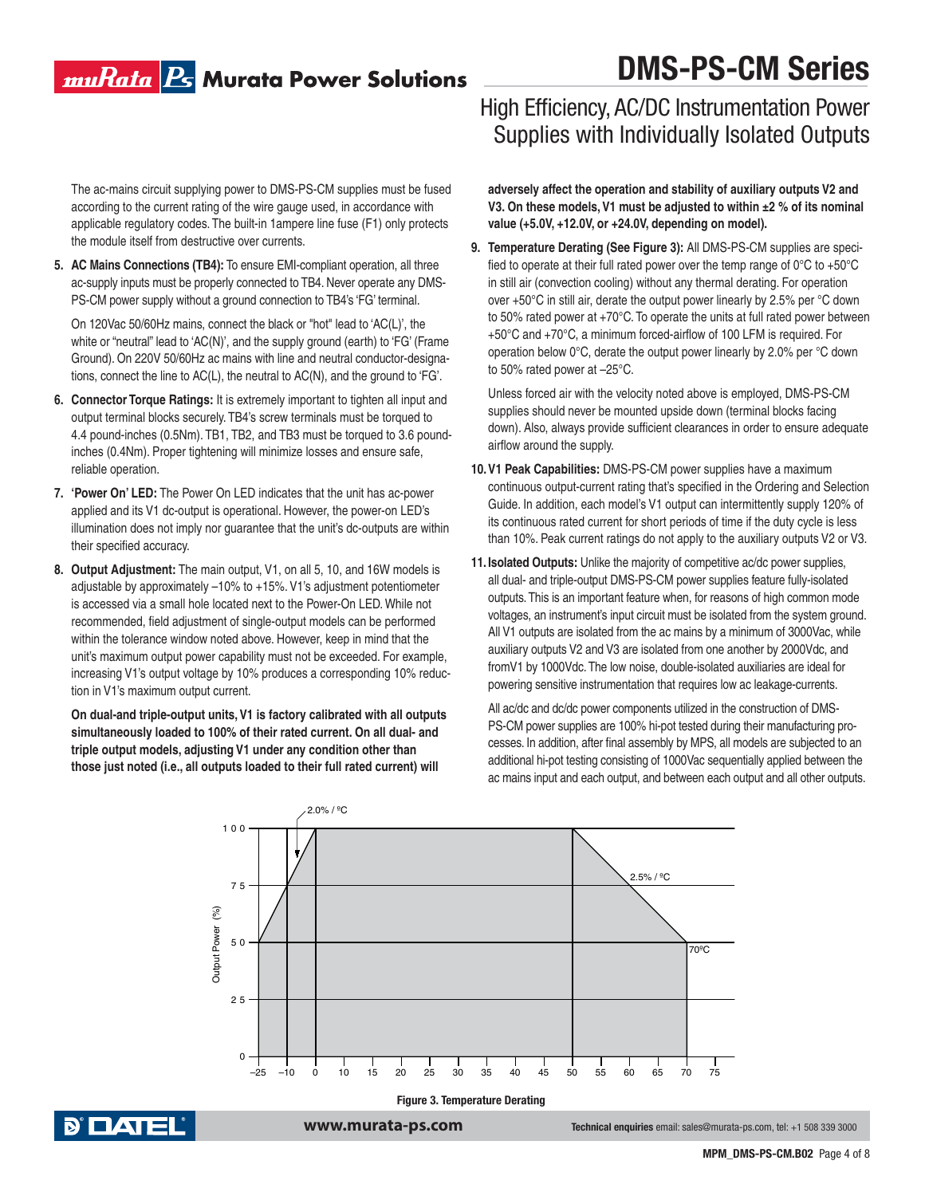### muRata <mark>Ps</mark> Murata Power Solutions

# **DMS-PS-CM Series**

 The ac-mains circuit supplying power to DMS-PS-CM supplies must be fused according to the current rating of the wire gauge used, in accordance with applicable regulatory codes. The built-in 1ampere line fuse (F1) only protects the module itself from destructive over currents.

**5. AC Mains Connections (TB4):** To ensure EMI-compliant operation, all three ac-supply inputs must be properly connected to TB4. Never operate any DMS-PS-CM power supply without a ground connection to TB4's 'FG' terminal.

 On 120Vac 50/60Hz mains, connect the black or "hot" lead to 'AC(L)', the white or "neutral" lead to 'AC(N)', and the supply ground (earth) to 'FG' (Frame Ground). On 220V 50/60Hz ac mains with line and neutral conductor-designations, connect the line to AC(L), the neutral to AC(N), and the ground to 'FG'.

- **6. Connector Torque Ratings:** It is extremely important to tighten all input and output terminal blocks securely. TB4's screw terminals must be torqued to 4.4 pound-inches (0.5Nm). TB1, TB2, and TB3 must be torqued to 3.6 poundinches (0.4Nm). Proper tightening will minimize losses and ensure safe, reliable operation.
- **7. 'Power On' LED:** The Power On LED indicates that the unit has ac-power applied and its V1 dc-output is operational. However, the power-on LED's illumination does not imply nor guarantee that the unit's dc-outputs are within their specified accuracy.
- **8. Output Adjustment:** The main output, V1, on all 5, 10, and 16W models is adjustable by approximately –10% to +15%. V1's adjustment potentiometer is accessed via a small hole located next to the Power-On LED. While not recommended, field adjustment of single-output models can be performed within the tolerance window noted above. However, keep in mind that the unit's maximum output power capability must not be exceeded. For example, increasing V1's output voltage by 10% produces a corresponding 10% reduction in V1's maximum output current.

**On dual-and triple-output units, V1 is factory calibrated with all outputs simultaneously loaded to 100% of their rated current. On all dual- and triple output models, adjusting V1 under any condition other than those just noted (i.e., all outputs loaded to their full rated current) will** 

### High Efficiency, AC/DC Instrumentation Power Supplies with Individually Isolated Outputs

**adversely affect the operation and stability of auxiliary outputs V2 and V3. On these models, V1 must be adjusted to within ±2 % of its nominal value (+5.0V, +12.0V, or +24.0V, depending on model).**

**9. Temperature Derating (See Figure 3):** All DMS-PS-CM supplies are specified to operate at their full rated power over the temp range of 0°C to +50°C in still air (convection cooling) without any thermal derating. For operation over +50°C in still air, derate the output power linearly by 2.5% per °C down to 50% rated power at +70°C. To operate the units at full rated power between +50°C and +70°C, a minimum forced-airflow of 100 LFM is required. For operation below 0°C, derate the output power linearly by 2.0% per °C down to 50% rated power at –25°C.

 Unless forced air with the velocity noted above is employed, DMS-PS-CM supplies should never be mounted upside down (terminal blocks facing down). Also, always provide sufficient clearances in order to ensure adequate airflow around the supply.

- **10. V1 Peak Capabilities:** DMS-PS-CM power supplies have a maximum continuous output-current rating that's specified in the Ordering and Selection Guide. In addition, each model's V1 output can intermittently supply 120% of its continuous rated current for short periods of time if the duty cycle is less than 10%. Peak current ratings do not apply to the auxiliary outputs V2 or V3.
- **11. Isolated Outputs:** Unlike the majority of competitive ac/dc power supplies, all dual- and triple-output DMS-PS-CM power supplies feature fully-isolated outputs. This is an important feature when, for reasons of high common mode voltages, an instrument's input circuit must be isolated from the system ground. All V1 outputs are isolated from the ac mains by a minimum of 3000Vac, while auxiliary outputs V2 and V3 are isolated from one another by 2000Vdc, and fromV1 by 1000Vdc. The low noise, double-isolated auxiliaries are ideal for powering sensitive instrumentation that requires low ac leakage-currents.

 All ac/dc and dc/dc power components utilized in the construction of DMS-PS-CM power supplies are 100% hi-pot tested during their manufacturing processes. In addition, after final assembly by MPS, all models are subjected to an additional hi-pot testing consisting of 1000Vac sequentially applied between the ac mains input and each output, and between each output and all other outputs.





**www.murata-ps.com Technical enquiries** email: sales@murata-ps.com, tel: +1 508 339 3000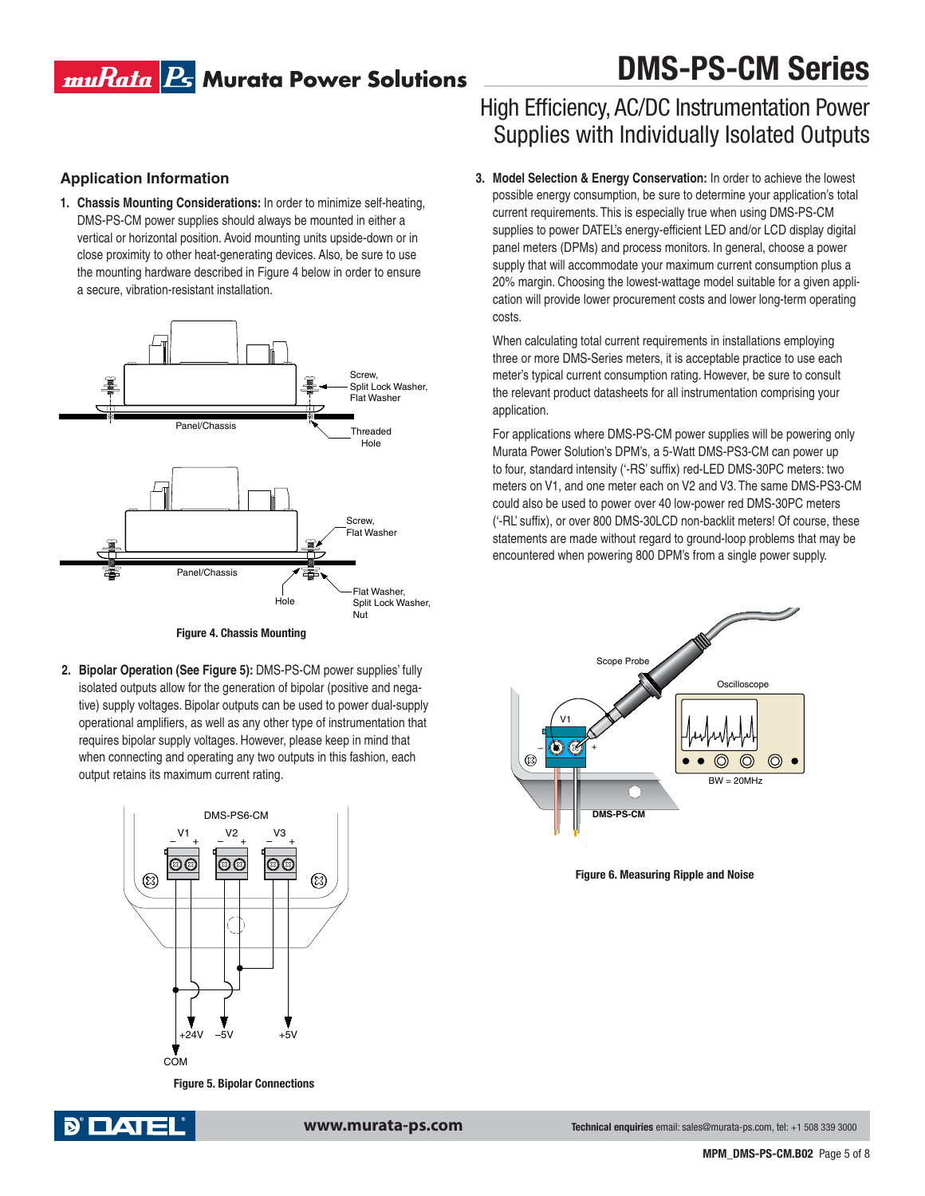### muRata <mark>Ps</mark> Murata Power Solutions

#### **Application Information**

**1. Chassis Mounting Considerations:** In order to minimize self-heating, DMS-PS-CM power supplies should always be mounted in either a vertical or horizontal position. Avoid mounting units upside-down or in close proximity to other heat-generating devices. Also, be sure to use the mounting hardware described in Figure 4 below in order to ensure a secure, vibration-resistant installation.





**2. Bipolar Operation (See Figure 5):** DMS-PS-CM power supplies' fully isolated outputs allow for the generation of bipolar (positive and negative) supply voltages. Bipolar outputs can be used to power dual-supply operational amplifiers, as well as any other type of instrumentation that requires bipolar supply voltages. However, please keep in mind that when connecting and operating any two outputs in this fashion, each output retains its maximum current rating.



**Figure 5. Bipolar Connections**



**www.murata-ps.com Technical enquiries** email: sales@murata-ps.com, tel: +1 508 339 3000

# **DMS-PS-CM Series**

### High Efficiency, AC/DC Instrumentation Power Supplies with Individually Isolated Outputs

**3. Model Selection & Energy Conservation:** In order to achieve the lowest possible energy consumption, be sure to determine your application's total current requirements. This is especially true when using DMS-PS-CM supplies to power DATEL's energy-efficient LED and/or LCD display digital panel meters (DPMs) and process monitors. In general, choose a power supply that will accommodate your maximum current consumption plus a 20% margin. Choosing the lowest-wattage model suitable for a given application will provide lower procurement costs and lower long-term operating costs.

 When calculating total current requirements in installations employing three or more DMS-Series meters, it is acceptable practice to use each meter's typical current consumption rating. However, be sure to consult the relevant product datasheets for all instrumentation comprising your application.

 For applications where DMS-PS-CM power supplies will be powering only Murata Power Solution's DPM's, a 5-Watt DMS-PS3-CM can power up to four, standard intensity ('-RS' suffix) red-LED DMS-30PC meters: two meters on V1, and one meter each on V2 and V3. The same DMS-PS3-CM could also be used to power over 40 low-power red DMS-30PC meters ('-RL' suffix), or over 800 DMS-30LCD non-backlit meters! Of course, these statements are made without regard to ground-loop problems that may be encountered when powering 800 DPM's from a single power supply.



**Figure 6. Measuring Ripple and Noise**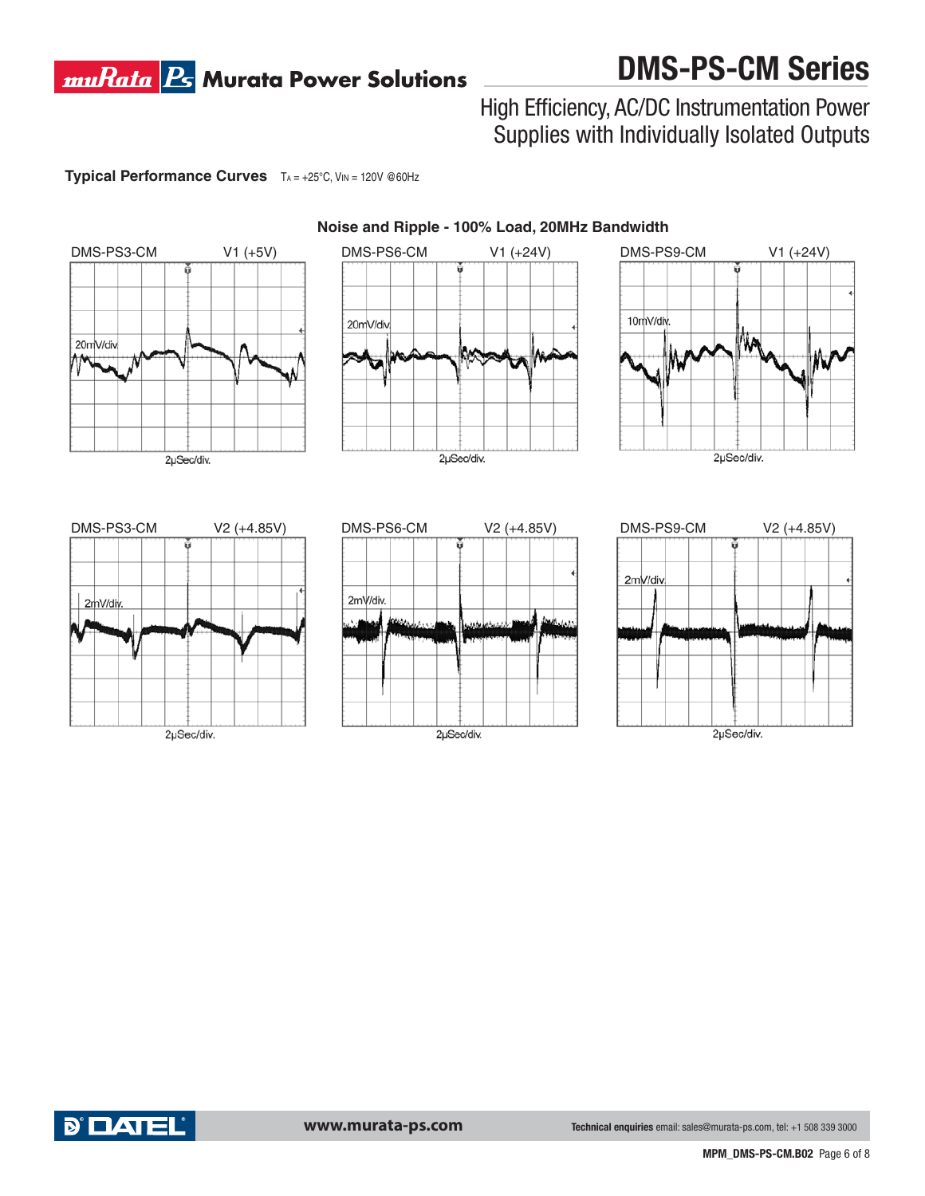### **muRata B** Murata Power Solutions

# **DMS-PS-CM Series**

### High Efficiency, AC/DC Instrumentation Power Supplies with Individually Isolated Outputs

**Typical Performance Curves**  $TA = +25^{\circ}C$ ,  $VM = 120V$  @60Hz



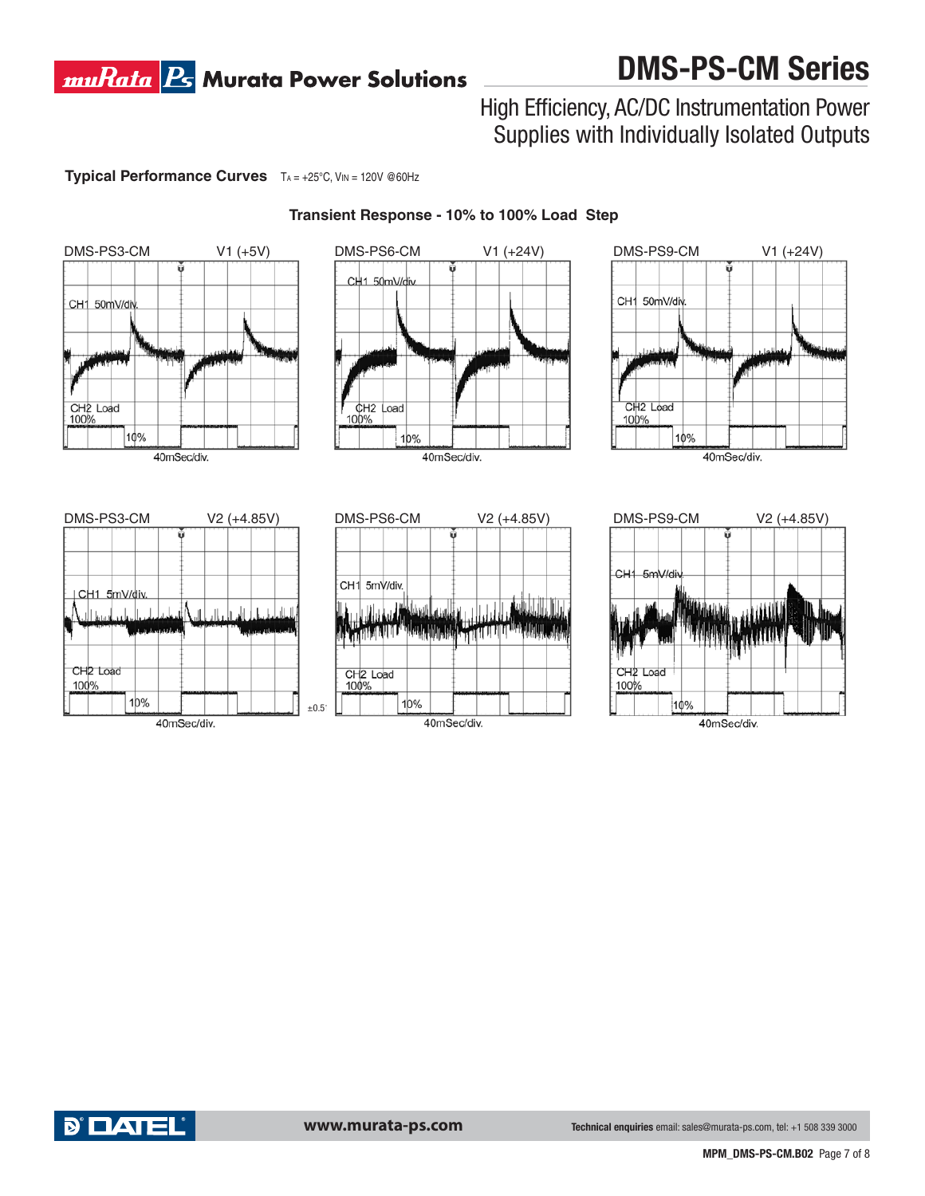### **muRata B** Murata Power Solutions

# **DMS-PS-CM Series**

### High Efficiency, AC/DC Instrumentation Power Supplies with Individually Isolated Outputs

**Typical Performance Curves**  $TA = +25^{\circ}C$ , VIN = 120V @60Hz



#### **Transient Response - 10% to 100% Load Step**

40mSec/div.